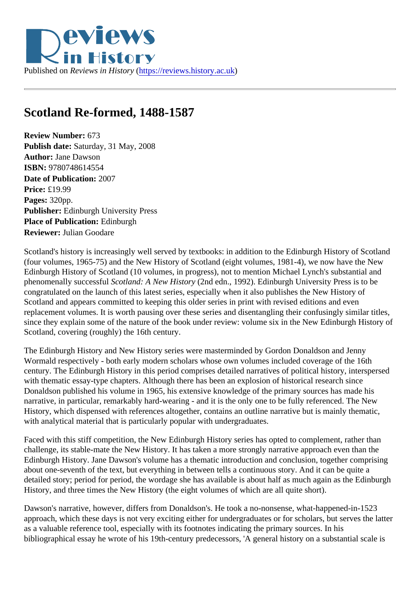## Scotland Re-formed, 1488-1587

Review Number: 673 Publish date: Saturday, 31 May, 2008 Author: Jane Dawson ISBN: 9780748614554 Date of Publication: 2007 Price: £19.99 Pages: 320pp. Publisher: Edinburgh University Press Place of Publication: Edinburgh Reviewer: Julian Goodare

Scotland's history is increasingly well served by textbooks: in addition to the Edinburgh History of Scotland (four volumes, 1965-75) and the New History of Scotland (eight volumes, 1981-4), we now have the New Edinburgh History of Scotland (10 volumes, in progress), not to mention Michael Lynch's substantial and phenomenally successfabotland: A New Histor(2nd edn., 1992). Edinburgh University Press is to be congratulated on the launch of this latest series, especially when it also publishes the New History of Scotland and appears committed to keeping this older series in print with revised editions and even replacement volumes. It is worth pausing over these series and disentangling their confusingly similar title since they explain some of the nature of the book under review: volume six in the New Edinburgh History of Scotland, covering (roughly) the 16th century.

The Edinburgh History and New History series were masterminded by Gordon Donaldson and Jenny Wormald respectively - both early modern scholars whose own volumes included coverage of the 16th century. The Edinburgh History in this period comprises detailed narratives of political history, interspersed with thematic essay-type chapters. Although there has been an explosion of historical research since Donaldson published his volume in 1965, his extensive knowledge of the primary sources has made his narrative, in particular, remarkably hard-wearing - and it is the only one to be fully referenced. The New History, which dispensed with references altogether, contains an outline narrative but is mainly thematic, with analytical material that is particularly popular with undergraduates.

Faced with this stiff competition, the New Edinburgh History series has opted to complement, rather than challenge, its stable-mate the New History. It has taken a more strongly narrative approach even than the Edinburgh History. Jane Dawson's volume has a thematic introduction and conclusion, together comprising about one-seventh of the text, but everything in between tells a continuous story. And it can be quite a detailed story; period for period, the wordage she has available is about half as much again as the Edinburghetain History, and three times the New History (the eight volumes of which are all quite short).

Dawson's narrative, however, differs from Donaldson's. He took a no-nonsense, what-happened-in-1523 approach, which these days is not very exciting either for undergraduates or for scholars, but serves the la as a valuable reference tool, especially with its footnotes indicating the primary sources. In his bibliographical essay he wrote of his 19th-century predecessors, 'A general history on a substantial scale is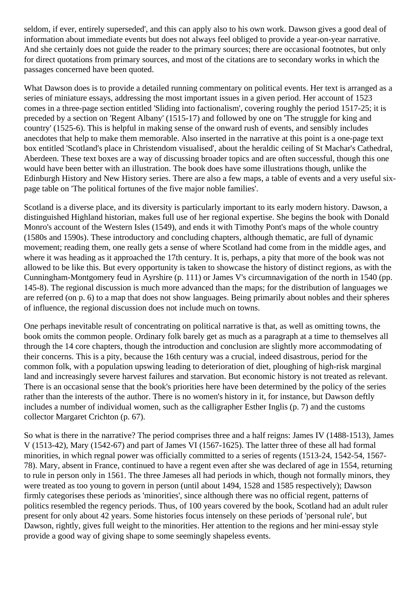seldom, if ever, entirely superseded', and this can apply also to his own work. Dawson gives a good deal of information about immediate events but does not always feel obliged to provide a year-on-year narrative. And she certainly does not guide the reader to the primary sources; there are occasional footnotes, but only for direct quotations from primary sources, and most of the citations are to secondary works in which the passages concerned have been quoted.

What Dawson does is to provide a detailed running commentary on political events. Her text is arranged as a series of miniature essays, addressing the most important issues in a given period. Her account of 1523 comes in a three-page section entitled 'Sliding into factionalism', covering roughly the period 1517-25; it is preceded by a section on 'Regent Albany' (1515-17) and followed by one on 'The struggle for king and country' (1525-6). This is helpful in making sense of the onward rush of events, and sensibly includes anecdotes that help to make them memorable. Also inserted in the narrative at this point is a one-page text box entitled 'Scotland's place in Christendom visualised', about the heraldic ceiling of St Machar's Cathedral, Aberdeen. These text boxes are a way of discussing broader topics and are often successful, though this one would have been better with an illustration. The book does have some illustrations though, unlike the Edinburgh History and New History series. There are also a few maps, a table of events and a very useful sixpage table on 'The political fortunes of the five major noble families'.

Scotland is a diverse place, and its diversity is particularly important to its early modern history. Dawson, a distinguished Highland historian, makes full use of her regional expertise. She begins the book with Donald Monro's account of the Western Isles (1549), and ends it with Timothy Pont's maps of the whole country (1580s and 1590s). These introductory and concluding chapters, although thematic, are full of dynamic movement; reading them, one really gets a sense of where Scotland had come from in the middle ages, and where it was heading as it approached the 17th century. It is, perhaps, a pity that more of the book was not allowed to be like this. But every opportunity is taken to showcase the history of distinct regions, as with the Cunningham-Montgomery feud in Ayrshire (p. 111) or James V's circumnavigation of the north in 1540 (pp. 145-8). The regional discussion is much more advanced than the maps; for the distribution of languages we are referred (on p. 6) to a map that does not show languages. Being primarily about nobles and their spheres of influence, the regional discussion does not include much on towns.

One perhaps inevitable result of concentrating on political narrative is that, as well as omitting towns, the book omits the common people. Ordinary folk barely get as much as a paragraph at a time to themselves all through the 14 core chapters, though the introduction and conclusion are slightly more accommodating of their concerns. This is a pity, because the 16th century was a crucial, indeed disastrous, period for the common folk, with a population upswing leading to deterioration of diet, ploughing of high-risk marginal land and increasingly severe harvest failures and starvation. But economic history is not treated as relevant. There is an occasional sense that the book's priorities here have been determined by the policy of the series rather than the interests of the author. There is no women's history in it, for instance, but Dawson deftly includes a number of individual women, such as the calligrapher Esther Inglis (p. 7) and the customs collector Margaret Crichton (p. 67).

So what is there in the narrative? The period comprises three and a half reigns: James IV (1488-1513), James V (1513-42), Mary (1542-67) and part of James VI (1567-1625). The latter three of these all had formal minorities, in which regnal power was officially committed to a series of regents (1513-24, 1542-54, 1567- 78). Mary, absent in France, continued to have a regent even after she was declared of age in 1554, returning to rule in person only in 1561. The three Jameses all had periods in which, though not formally minors, they were treated as too young to govern in person (until about 1494, 1528 and 1585 respectively); Dawson firmly categorises these periods as 'minorities', since although there was no official regent, patterns of politics resembled the regency periods. Thus, of 100 years covered by the book, Scotland had an adult ruler present for only about 42 years. Some histories focus intensely on these periods of 'personal rule', but Dawson, rightly, gives full weight to the minorities. Her attention to the regions and her mini-essay style provide a good way of giving shape to some seemingly shapeless events.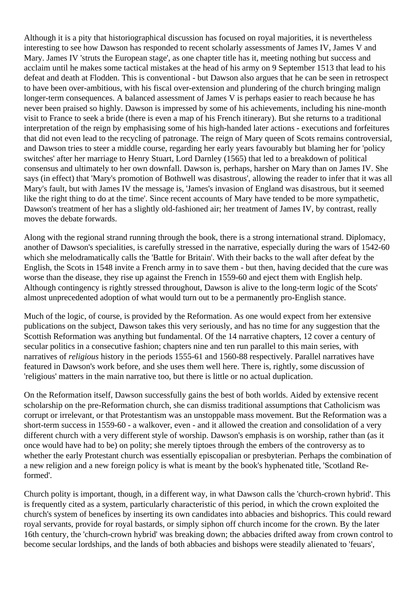Although it is a pity that historiographical discussion has focused on royal majorities, it is nevertheless interesting to see how Dawson has responded to recent scholarly assessments of James IV, James V and Mary. James IV 'struts the European stage', as one chapter title has it, meeting nothing but success and acclaim until he makes some tactical mistakes at the head of his army on 9 September 1513 that lead to his defeat and death at Flodden. This is conventional - but Dawson also argues that he can be seen in retrospect to have been over-ambitious, with his fiscal over-extension and plundering of the church bringing malign longer-term consequences. A balanced assessment of James V is perhaps easier to reach because he has never been praised so highly. Dawson is impressed by some of his achievements, including his nine-month visit to France to seek a bride (there is even a map of his French itinerary). But she returns to a traditional interpretation of the reign by emphasising some of his high-handed later actions - executions and forfeitures that did not even lead to the recycling of patronage. The reign of Mary queen of Scots remains controversial, and Dawson tries to steer a middle course, regarding her early years favourably but blaming her for 'policy switches' after her marriage to Henry Stuart, Lord Darnley (1565) that led to a breakdown of political consensus and ultimately to her own downfall. Dawson is, perhaps, harsher on Mary than on James IV. She says (in effect) that 'Mary's promotion of Bothwell was disastrous', allowing the reader to infer that it was all Mary's fault, but with James IV the message is, 'James's invasion of England was disastrous, but it seemed like the right thing to do at the time'. Since recent accounts of Mary have tended to be more sympathetic, Dawson's treatment of her has a slightly old-fashioned air; her treatment of James IV, by contrast, really moves the debate forwards.

Along with the regional strand running through the book, there is a strong international strand. Diplomacy, another of Dawson's specialities, is carefully stressed in the narrative, especially during the wars of 1542-60 which she melodramatically calls the 'Battle for Britain'. With their backs to the wall after defeat by the English, the Scots in 1548 invite a French army in to save them - but then, having decided that the cure was worse than the disease, they rise up against the French in 1559-60 and eject them with English help. Although contingency is rightly stressed throughout, Dawson is alive to the long-term logic of the Scots' almost unprecedented adoption of what would turn out to be a permanently pro-English stance.

Much of the logic, of course, is provided by the Reformation. As one would expect from her extensive publications on the subject, Dawson takes this very seriously, and has no time for any suggestion that the Scottish Reformation was anything but fundamental. Of the 14 narrative chapters, 12 cover a century of secular politics in a consecutive fashion; chapters nine and ten run parallel to this main series, with narratives of *religious* history in the periods 1555-61 and 1560-88 respectively. Parallel narratives have featured in Dawson's work before, and she uses them well here. There is, rightly, some discussion of 'religious' matters in the main narrative too, but there is little or no actual duplication.

On the Reformation itself, Dawson successfully gains the best of both worlds. Aided by extensive recent scholarship on the pre-Reformation church, she can dismiss traditional assumptions that Catholicism was corrupt or irrelevant, or that Protestantism was an unstoppable mass movement. But the Reformation was a short-term success in 1559-60 - a walkover, even - and it allowed the creation and consolidation of a very different church with a very different style of worship. Dawson's emphasis is on worship, rather than (as it once would have had to be) on polity; she merely tiptoes through the embers of the controversy as to whether the early Protestant church was essentially episcopalian or presbyterian. Perhaps the combination of a new religion and a new foreign policy is what is meant by the book's hyphenated title, 'Scotland Reformed'.

Church polity is important, though, in a different way, in what Dawson calls the 'church-crown hybrid'. This is frequently cited as a system, particularly characteristic of this period, in which the crown exploited the church's system of benefices by inserting its own candidates into abbacies and bishoprics. This could reward royal servants, provide for royal bastards, or simply siphon off church income for the crown. By the later 16th century, the 'church-crown hybrid' was breaking down; the abbacies drifted away from crown control to become secular lordships, and the lands of both abbacies and bishops were steadily alienated to 'feuars',